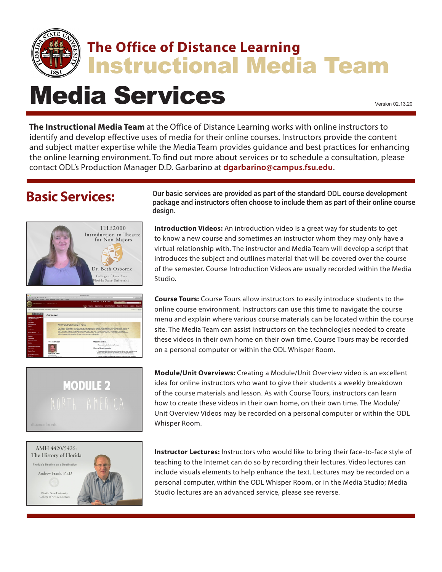

## **The Office of Distance Learning** Instructional Media Team

Media Services Version 02.13.20

**The Instructional Media Team** at the Office of Distance Learning works with online instructors to identify and develop effective uses of media for their online courses. Instructors provide the content and subject matter expertise while the Media Team provides guidance and best practices for enhancing the online learning environment. To find out more about services or to schedule a consultation, please

contact ODL's Production Manager D.D. Garbarino at **dgarbarino[@campus.fsu.edu](mailto:ccreasy%40campus.fsu.edu?subject=Media%20Services%20Inquiry)**.

## **Basic Services:**









Our basic services are provided as part of the standard ODL course development package and instructors often choose to include them as part of their online course design.

**Introduction Videos:** An introduction video is a great way for students to get to know a new course and sometimes an instructor whom they may only have a virtual relationship with. The instructor and Media Team will develop a script that introduces the subject and outlines material that will be covered over the course of the semester. Course Introduction Videos are usually recorded within the Media Studio.

**Course Tours:** Course Tours allow instructors to easily introduce students to the online course environment. Instructors can use this time to navigate the course menu and explain where various course materials can be located within the course site. The Media Team can assist instructors on the technologies needed to create these videos in their own home on their own time. Course Tours may be recorded on a personal computer or within the ODL Whisper Room.

**Module/Unit Overviews:** Creating a Module/Unit Overview video is an excellent idea for online instructors who want to give their students a weekly breakdown of the course materials and lesson. As with Course Tours, instructors can learn how to create these videos in their own home, on their own time. The Module/ Unit Overview Videos may be recorded on a personal computer or within the ODL Whisper Room.

**Instructor Lectures:** Instructors who would like to bring their face-to-face style of teaching to the Internet can do so by recording their lectures. Video lectures can include visuals elements to help enhance the text. Lectures may be recorded on a personal computer, within the ODL Whisper Room, or in the Media Studio; Media Studio lectures are an advanced service, please see reverse.